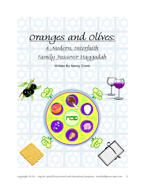

Copyright 06/04. May be copied for personal and educational purposes. Interfaithpeace @aol.com 1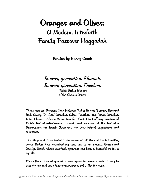# Oranges and Olives: A Modern, Interfaith Family Passover Haggadah

Written by Nancy Cronk

# In every generation, Pharaoh. In every generation, Freedom.

- Rabbi Arthur Waskow of the Shalom Center

Thank-you to: Reverend Jann Halloran, Rabbi Howard Berman, Reverend Rudi Gelsey, Dr. Saul Greenhut, Adam, Jonathan, and Jordan Greenhut, Julie Schumer, Rebecca Crane, Jennifer Aboaf, Lita Hoffberg, members of Prairie Unitarian-Universalist Church, and members of the Unitarian Universalists for Jewish Awareness, for their helpful suggestions and comments.

This Haggadah is dedicated to the Greenhut, Stoller and Webb Families, whose Seders have nourished my soul, and to my parents, George and Carolyn Cronk, whose interfaith openness has been a beautiful model in my life.

Please Note: This Haggadah is copyrighted by Nancy Cronk. It may be used for personal and educational purposes only. Not for resale.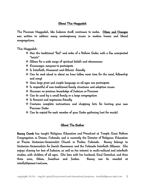#### About This Haggadah

The Passover Haggadah, like Judaism itself, continues to evolve. Olives and Oranges was written to address many contemporary issues in modern homes and liberal congregations.

This Haggadah:

- Has the traditional "feel" and order of a Reform Seder, with a few unexpected "twists"
- $\cdot$  allows for a wide range of spiritual beliefs and observances
- Encourages everyone to participate
- $\cdot$  Is Interfaith, Humanist and Atheist -friendly
- Can be read aloud in about an hour (allow more time for the meal, fellowship and song)
- Uses large print and simple language so all ages can participate
- $\cdot$  Is respectful of non-traditional family structures and adoption issues
- \* *Ossumes no previous knowledge of Judaism or Passover*
- $\boldsymbol{\dot{\cdot}}$  Can be used by a small family or a large congregation
- $\cdot$  Is feminist and vegetarian-friendly
- Contains complete instructions and shopping lists for hosting your own Passover Seder
- Can be copied for each member of your Seder gathering (not for resale)

#### About The Author

Nancy Cronk has taught Religious Education and Preschool at Temple Sinai Reform Congregation in Denver, Colorado, and is currently the Director of Religious Education at Prairie Unitarian-Universalist Church in Parker, Colorado. Nancy belongs to Unitarian-Universalists for Jewish Awareness and the Colorado Interfaith Alliance. She enjoys sharing her love of Judaism, as well as her interest in multi-cultural and interfaith studies, with children of all ages. She lives with her husband, Saul Greenhut, and their three sons, Adam, Jonathan and Jordan. Nancy can be emailed at interfaithpeace@aol.com.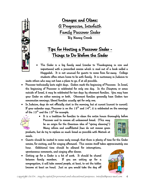

Oranges and Olives: A Progressive, Interfaith Family Passover Seder By Nancy Cronk

# Tips for Hosting a Passover Seder - Things to Do Before the Seder

• The Seder is a big family meal (similar to Thanksgiving in size and importance) with a prescribed service which is read out of a book called a Haggadah. It is not unusual for guests to come from far-away. College students often return home to be with family. It is customary in Judaism to

invite others who may not have a place to go, if at all possible.

- Passover technically lasts eight days. Seders mark the beginning of Passover. In Israel, the beginning of Passover is celebrated for only one day. In the Diaspora, or areas outside of Israel, it may be celebrated for two days by observant families. You may have your Seder on either evening or both. Observant families generally have Seders two consecutive evenings; liberal families usually opt for only one.
- In Judaism, days do not officially start in the morning, but at sunset (sunset to sunset). If your calendar says, Passover is on the  $13^{th}$  and  $14^{th}$ , it is celebrated on the evenings of the  $12^{th}$  and the  $13^{th}$  for example.



• It is a tradition for families to clean the entire house thoroughly before Passover and to remove all unleavened bread. (This may

be an origin for the American idea of "spring cleaning".) Many reform and unaffiliated Jews do not remove grain

products, but d o try to replace as much bread as possible with Matzah at meals.

• Guests should be invited to come early enough that there is plenty of time for the Seder service, for visiting, and for singing afterward. This service itself takes approximately one hour. Additional time should be allowed for interruptions,

spontaneous comments, and singing after dinner.

• Setting up for a Seder is a bit of work. It should be shared between family members. If you are setting up for a congregation, it will take several people, at least, to set the tables (reserve at least an hour). Just as you would take the day off

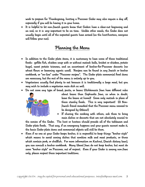work to prepare for Thanksgiving, hosting a Passover Seder may also require a day off, especially if you will be having it in your home.

• It is helpful to let non-Jewish guests know that Seders have a clear-cut beginning and an end, so it is very important to be on time. Unlike other meals, the Seder does not usually begin until all of the expected guests have arrived (as the host/hostess, everyone will follow your cue).

# Planning the Menu

- In addition to the Seder plate items, it is customary to have some of these traditional foods: gefilte fish, chicken soup with or without matzah balls, brisket or chicken, potato kugel, sweet potato tzimmes, and an assortment of kosher-for-Passover desserts (no wheat flours or leavening agents used). Recipes can be found in any Jewish or kosher cookbook, or "on-line" under "Passover recipes". The Seder plate ceremonial food items are necessary, but the rest of the menu is entirely up to you.
- Vegetarians usually find plenty to eat because it is traditionally a large meal, but you may wish to include a vegetarian main dish as well.
- Do not serve any type of bread, pasta, or beans (Ashkenazic Jews have different rules



- about beans than Sephardic Jews, so when in doubt, leave the beans at home)! Serve only matzah in place of these starchy foods. This is very important! (A Non-Jewish friend remarked that the Passover menu seemed to be designed by Atkins!)
- If sharing the cooking with others, ask them to bring main dishes or desserts that are not absolutely crucial to

the service of the Seder. The host or hostess should provide all of the tableware and Seder plate foods. That way, if an emergency happens and your guests cannot make it, the basic Seder plate items and ceremonial objects will still be there.

• Even if no one at your Seder keeps kosher, it is respectful to keep things "kosher style" which means to avoid serving dishes that combine milk and meat products, or those which contain pork, or shellfish. For more information on Kashrut, (Jewish dietary laws), you can consult a kosher cookbook. Many liberal Jews do not keep kosher, but most do serve "kosher style" on Passover, out of respect. Even if your Seder is among non-Jews only, please respect these important traditions.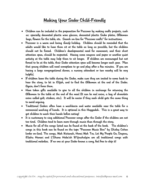# Making Your Seder Child-Friendly

- Children can be included in the preparation for Passover by making crafts projects, such as: specially decorated plastic wine glasses, decorated plastic Seder plates, Afikomen bags, flowers for the table, etc. Search on-line for "Passover crafts" for instructions.
- Passover is a warm and loving *family* holiday. Children should be reminded that the adults would like to have them sit at the table as long as possible, but the children should not be forced. Children's developmental need for movement, and their short attention span, should be respected. Having some crayons and paper or another quiet activity at the table may help them to sit longer. If children are encouraged but not forced to be at the table, their Seder attention span will become longer each year. Plan that young children will need someplace to go and play after a few minutes. If you are having a large congregational dinner, a nursery attendant or two nearby will be very helpful.
- If children leave the table during the Seder, make sure they are invited to come back to hear the story, to let in Elijah, and to find the Afikomen at the end of the Seder. Again, don't force them.
- Have token gifts available to give to all the children in exchange for returning the Afikomen to the table at the end of the meal (It can be real coins, a bag of chocolate coins called gelt, stickers, etc.). It will be easier if they each child gets the same thing to avoid arguing.
- Traditional Seders often have a washbasin and water available near the table for a ceremonial washing of hands. It is optional in this Haggadah. This is a great way to get children to wash their hands before eating!
- It is customary to sing additional Passover songs after the Seder if the children are not too tired. Children tend to learn more through music than through the story.
- Music for all of the songs listed can be found at the back of the book. The children's songs in this book can be found on the tape "Passover Music Box" by Shirley Cohen (order on-line). The songs, Mah Nistanah, Henei Mah Tov, Let My People Go, Dayenu, Eliahu Hanavi and L'Shana Haba'ah B'Yrushalyim are all traditional songs with traditional melodies. If no one at your Seder knows a song, feel free to skip it!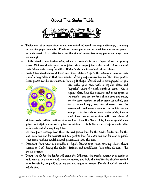# About The Seder Table



- Tables are set as beautifully as you can afford, although for large gatherings, it is okay to use nice paper products. Purchase several plates and at least two glasses or goblets for each guest. It is better to err on the side of having too many plates and cups than not enough!
- Adults should have kosher wine, which is available in most liquor stores or grocery stores. Children should have grape juice (white grape juice stains less). Have some at each table and be ready for spills! Water is also made available at each table.
- Each table should have at least one Seder plate set-up in the middle, or one on each end of a long table, so that each member of the group can reach one of the Seder plates. Seder plates can be purchased in Jewish gift shops (often found in synagogues) or you



can make your own with a regular plate and "cupcake" liners for each symbolic item. On a regular plate, have five sections and some space in the middle: one section for a shank bone and olives, one for some parsley (or other green vegetable), one for a roasted egg, one for charoses, one for horseradish, and some space in the middle for an orange. On the side of each Seder plate, have a bowl of salt water and a plate with three pieces of

Matzah folded within sections of a napkin. Near the Seder plate, have a special wine goblet for Elijah, and a water goblet for Miriam. This is the basic set-up for each table, or for each end of a very long table.

- At each place setting, have three stacked plates (one for the Seder foods, one for the main dish and one for dessert) and two goblets (one for water and one for wine or juice). Have extra napkins available nearby, especially near the kids.
- Observant Jews wear a yarmulke or kipah (beanie-type head covering which shows respect to God) during the Seder. Reform and unaffiliated Jews often do not. The choice is yours.
- During the Seder, the leader will break the Afikomen (the middle matzah in a stack) in half, wrap it in a clean small towel or napkin, and hide the half for the children to find later. Hopefully, they will be eating and not paying attention. Decide ahead of time who will do this.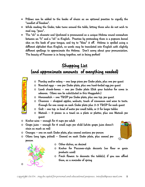- Pillows can be added to the backs of chairs as an optional practice to signify the "comfort of freedom".
- While reading the Seder, take turns around the table, letting those who do not wish to read say, "pass".
- The "ch" in chametz and Yocheved is pronounced as a unique Hebrew sound somewhere between an "h" and a "ch" in English. Practice by pretending there is a popcorn kernel skin on the back of your tongue, and try to "blow" it off. Hebrew is spelled using a different alphabet than English, so words may be translated into English with slightly different spellings to approximate the Hebrew. Don't worry about your pronunciation. The beauty of Passover is in being together, not in being perfect!

# Shopping List (and approximate amounts of everything needed)

- o Parsley and/or celery one large piece per Seder plate, plus one per guest
- o Roasted eggs one per Seder plate, plus one hard-boiled egg per guest
- o Lamb shank-bones one per Seder plate (Ask your butcher for some in a dvance. Olives can be substituted in this Haggadah.)
- o Horseradish one TBSP per Seder plate, plus one tsp. per guest
- o Charoses chopped apples, walnuts, touch of cinnamon and wine to taste. E nough for one scoop on each Seder plate plus 2-3 TBSP for each guest
- $\circ$  Salt one tsp. in bowl of water per small table, or 2 for larger tables
- o Matzah 3 pieces in a towel on a plate or platter, plus one Matzah per g uest
- $\circ$  Kosher wine enough for 4 cups per adult
- o Grape juice enough for 4 small cups per child (white grape juice doesn't stain as much as red)
- o Oranges one on each Seder plate, plus several sections per person
- o Olives (any type, pitted) Several on each Seder plate, plus several per person



- o Other dishes, as desired
- o Kosher for Passover-style desserts (no flour or grain products used)
- o Fresh flowers to decorate the table(s), if you can afford them, as a reminder of spring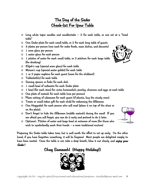# The Day of the Seder Check-list For Your Table

- $\circ$  Long white taper candles and candlesticks  $-$  2 for each table, or one set at a "head table"
- o One Seder plate for each small table, or 2 for each long table of guests
- o 3 plates per person (one each for seder foods, main dishes, and desserts)
- o 1 wine glass per person
- o 1 water glass for each person
- o 1 pitcher of water for each small table, or 2 pitchers for each large table (for drinking)
- $\circ$  Elijah's cup (special wine glass) for each table
- o Miriam's cup (special water goblet) for each table
- $\circ$  1 or 2 paper napkins for each quest (more for the children!)
- o Tablecloth(s) for each table
- o Serving spoons or forks for each dish
- o 1 small bowl of saltwater for each Seder plate
- o 1 bowl (for each item) for: extra horseradish, parsley, charoses and eggs at each table
- o One plate of matzah for each table (one per person)
- o Place setting of silverware for each guest (if plastic, buy the sturdy ones)
- o Treats or small token gift for each child for redeeming the Afikomen
- o One Haggadah for each person who will read (place it on top of the chair or on the plate).
- o Don't forget to hide the Afikomen (middle matzah) during the meal! If you are afraid you will forget, you can do it early and pretend to do it later.
- o Optional : Pitcher of water and large bowl at entrance of room (for those who wish to symbolically wash their hands – a more traditional custom)

Preparing the Seder table takes time, but is well worth the effort to set up early. On the other hand, if you have forgotten something, it will be forgiven! Most people are delighted simply to have been invited. Once the table is set, take a deep breath, blow it out slowly, and *enjoy your* Seder !

# Chag Sameach! (Happy Holiday!)





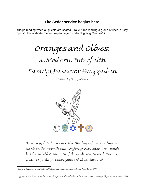# **The Seder service begins here**.

(Begin reading when all guests are seated. Take turns reading a group of lines, or say "pass". For a shorter Seder, skip to page 5 under "Lighting Candles".)

Oranges and Olives:

A Modern, Interfaith

Family Passover Haggadah

Written by Nancy Cronk



"How easy it is for us to relive the days of our bondage as we sit in the warmth and comfort of our seder. How much harder to relieve the pain of those who live in the bitterness of slavery today."-Congregation Beth El, Sudbury, M[A1](#page-9-0)

<span id="page-9-0"></span> $\overline{a}$ <sup>1</sup>Quoted in Singing the Living Tradition, Unitarian Universalist Association, Beacon Press, Boston, 1993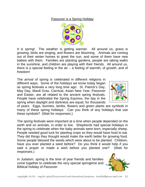#### Passover is a Spring Holiday



It is spring! The weather is getting warmer. All around us, grass is growing, birds are singing, and flowers are blooming. Animals are coming out of their winter homes to greet the sun, and some of them have new babies with them. Families are planting gardens, people are taking walks in the sunshine, and children are playing with their friends. All around us, there is a special feeling in the air  $-$  a feeling of warmth, of growth, and of freedom!

The arrival of spring is celebrated in different religions in different ways. Some of the holidays we know today began as spring festivals a very long time ago. St. Patrick's Day, May Day, Mardi Gras, Carnival, Asian New Year, Passover and Easter, are all related to the ancient spring festivals. People have celebrated the Spring Equinox, the day in the spring when daylight and darkness are equal, for thousands



of years. Eggs, bunnies, lambs, flowers and green plants are symbols in many of these spring holidays. Can you think of any holidays that use these symbols? (Wait for responses.)

The spring festivals were important at a time when people depended on the earth and on animals, in order to live. Shepherds had special holidays in the spring to celebrate when the baby animals were born, especially sheep. People needed good luck for planting crops so they would have food to eat. They did things they thought would make the earth better for growing food. Some people blessed the seeds which were about to be planted. Children, have you ever planted a seed before? Do you think it would help if you said a prayer or made a wish before you planted one? (Wait for responses.)

In Judaism, spring is the time of year friends and families come together to celebrate the very special springtime and Biblical holiday of *Passover*.

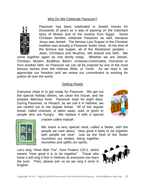#### Why Do We Celebrate Passover?



Passover has been celebrated in Jewish homes for thousands of years as a way of passing on the important story of Moses and of the exodus from Egypt. Some Christian families celebrate Passover as well, because Jesus was Jewish. The famous Last Supper in the Christian tradition was actually a Passover Seder meal. At the time of the famous last supper, all of the Abrahamic peoples – Jews, Christians and Muslims, still shared one faith. We

come together again as one family today. Whether we are Jewish, Christian, Muslim, Buddhist, Bahá'i, Unitarian-Universalist, Humanist or from another faith, on Passover we can all be inspired by one of the most famous stories from the Hebrew Bible, or *Torah*. As we read it, we appreciate our freedom and we renew our commitment to working for justice all over the world.

#### Getting Ready

Everyone chips in to get ready for Passover. We get out the special holiday dishes, we clean the house, and we prepare delicious food. Passover lasts for eight days. During Passover, or *Pesach*, as we call it in Hebrew, we are careful not to eat regular bread. All of the regular bread, called *chametz*, is taken away, sold, or given to people who are hungry. We replace it with a special





cracker called *matzah*.

We share a very special meal, called a Seder, with the people we care about. How good it feels to be together with people we love! Just as the food of the Seder nourishes our bodies, being together nourishes and uplifts our spirits.

Let's sing "Hinei Mah Tov", from Psalms 133:1, which means "How good it is to be together". Those who know it will sing it first in Hebrew so everyone can learn the tune. Then, please join us as we sing it once in English.

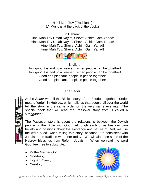Hinei Mah Tov (Traditional) (♫ Music is at the back of the book.)

In Hebrew:

Hinei Mah Tov Umah Nayim, Shevat Achim Gam Yahad! Hinei Mah Tov Umah Nayim, Shevat Achim Gam Yahad! Hinei Mah Tov, Shevet Achim Gam Yahad! Hinei Mah Tov, Shevat Achim Gam Yahad!



In English:

How good it is and how pleasant, when people can be together! How good it is and how pleasant, when people can be together! Good and pleasant, people in peace together! Good and pleasant, people in peace together!

## The Seder

At the *Seder* we tell the Biblical story of the Exodus together. Seder means "order" in Hebrew, which tells us that people all over the world tell the story in the same order on the very same evening. The special book that we read the Passover story from is called a "*Haggadah*".

The Passover story is about the relationship between the Jewish people of the Bible with God. Although each of us has our own beliefs and opinions about the existence and nature of God, we use the word "God" when telling this story, because it is consistent with Judaism, the tradition we honor today. We will also use some of the Hebrew blessings from Reform Judaism. When we read the word God, feel free to substitute:

- Mother/Father God,
- Goddess,
- Higher Power,
- Creator,

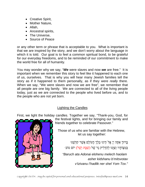- Creative Spirit,
- Mother Nature,
- Allah,
- Ancestral spirits,
- The Universe,
- Source of Peace

or any other term or phrase that is acceptable to you. What is important is that we are inspired by the story, and we don't worry about the language in which it is told. Our goal is to feel a common spiritual bond, to be grateful for our everyday freedoms, and to be reminded of our commitment to make the world free for all of humanity*.* 

You may wonder why we say, "*We* were slaves and now *we* are free." It is important when we remember this story to feel like it happened to each one of us, ourselves. That is why you will hear many Jewish families tell the story as if it happened to them personally, as if they were *really* there. When we say, "We were slaves and now we are free", we remember that all people are one big family. We are connected to all of the living people today, just as we are connected to the people who lived before us, and to the people who are not yet born.

### Lighting the Candles

First, we light the holiday candles. Together we say, "Thank-you, God, for



the festival lights, and for bringing our family and friends together to celebrate Passover."

Those of us who are familiar with the Hebrew, let us say together:

> ָבּ ְ רוּך אַתָּה יְיָ ֱא ֵ לֹהינוּ מֶלְֶך ָהעוֹלָם אֲשֶׁ ר קִדּ ָ ְשׁנוּ בְּמְצָוֹתַיו וְצָוַּנוּ לְהַדְלִיק נֵר שֵׁל (שַׁבַּת וְשֵׁל) יוֹם טוֹב·

*"Baruch ata Adonai elohenu melech haolam asher kidshanu b'mitsvotav v'tzivanu l'hadlik ner shel Yom Tov."*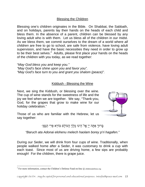#### Blessing the Children

Blessing one's children originates in the Bible. On Shabbat, the Sabbath, and on holidays, parents lay their hands on the heads of each child and bless them. In the absence of a parent, children can be blessed by any loving adult who is with them. Let us bless all of the children in our midst. As we bless them, we commit ourselves to the dream of a world where *all children* are free to go to school, are safe from violence, have loving adult supervision, and have the basic necessities they need in order to grow up to be their best selves.<sup>[2](#page-14-0)</sup> Adults, please first place your hands on the heads of the children with you today, as we read together:

"*May God bless you and keep you." "May God's face shine upon you and favor you". "May God's face turn to you and grant you shalom (peace)".* 

#### Kiddush - Blessing the Wine

Next, we sing the Kiddush, or blessing over the wine. The cup of wine stands for the sweetness of life and the joy we feel when we are together. We say, "Thank-you, God, for the grapes that grow to make wine for our holiday celebration."



Those of us who are familiar with the Hebrew, let us say together:

ָבִרוּךְ אַתַּה יְיָ אֱל<sup>ֹי</sup>הֵינוּ מֶלֶךְ הַעוֹלַם בּוֹרֵא פְּרִי הַגַּפֶן·

*"Baruch ata Adonai elohenu melech haolam borey p'ri hagafen."*

During our Seder, we will drink from four cups of wine. Traditionally, when people walked home after a Seder, it was customary to drink a cup with each toast. Since most of us are driving home, a few sips are probably enough! For the children, there is grape juice.

 $\overline{a}$ 

<span id="page-14-0"></span><sup>&</sup>lt;sup>2</sup> For more information, contact the Children's Defense Fund on-line  $\omega$  childrensdefense.org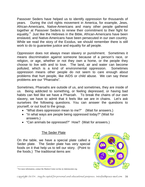Passover Seders have helped us to identify oppression for thousands of years. During the civil rights movement in America, for example, Jews, African-Americans, Native-Americans and many other people gathered together at Passover Seders to renew their commitment to their fight for equality.<sup>[3](#page-15-0)</sup> Just like the Hebrews in the Bible, African-Americans have been enslaved, and Native-Americans have been persecuted in our own country. While we read the story of the Exodus, we should remember there is still work to do to guarantee justice and equality for *all* people.

Oppression does not always mean slavery or punishment. Sometimes it means discrimination against someone because of a person's race, or religion, or age, whether or not they own a home, or the people they choose to live with and to love. The land, air and water can become polluted, which is a kind of environmental oppression. Sometimes oppression means other people do not seem to care enough about problems that hurt people, like AIDS or child abuse. We can say these problems are our "Pharoahs".

Sometimes, Pharoahs are outside of us, and sometimes, they are inside of us. Being addicted to something, or feeling depressed, or having bad habits can feel like we have a Pharoah. To break the chains of our own slavery, we have to admit that it feels like we are in chains. Let's ask ourselves the following questions. You can answer the questions to yourself, or out loud to the group.

- "What does oppression mean to me?" (Wait for answers.)
- "In what ways are people being oppressed today?" (Wait for answers.)
- "Can animals be oppressed?" How? (Wait for answers.)

## **The Seder Plate**

On the table, we have a special plate called a Seder plate. The Seder plate has very special foods on it that help us to tell our story. (Point to the foods.) The traditional items are:

<span id="page-15-0"></span> $\overline{a}$ <sup>3</sup> For more information, contact the Shalom Center on-line  $\omega$  shalomcenter.org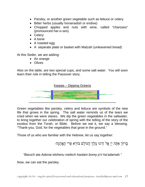- Parsley, or another green vegetable such as lettuce or celery
- Bitter herbs (usually horseradish or endive)
- Chopped apples and nuts with wine, called "charoses" (pronounced har-o-ses)
- Celery
- A bone
- A roasted egg
- A separate plate or basket with Matzah (unleavened bread)

At this Seder, we are adding:

- An orange
- Olives

Also on the table, are two special cups, and some salt water. You will soon learn their role in telling the Passover story.



Green vegetables like parsley, celery and lettuce are symbols of the new life that grows in the spring. The salt water reminds us of the tears we cried when we were slaves. We dip the green vegetables in the saltwater, to bring together our celebration of spring with the telling of the story of the exodus from the Torah, or Bible. Before we eat it, we say a blessing. "Thank-you, God, for the vegetables that grow in the ground."

Those of us who are familiar with the Hebrew, let us say together:

ָבּ ְ רוּך אַתָּ ה יְיָ ֱא ֵ לֹהינוּ מֶלְֶך ָהעוֹלָם בּוֹרֵא פְּרִי הָאֳדָמָה·

*"Baruch ata Adonai elohenu melech haolam borey p'ri ha'adamah."*

Now, we can eat the parsley.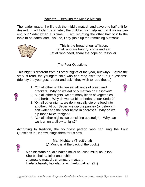#### Yachatz – Breaking the Middle Matzah

The leader reads: I will break the middle matzah and save one half of it for dessert. I will hide it, and later, the children will help us find it so we can end our Seder when it is time. I am returning the other half of it to the table to be eaten later. As I do, I say (hold up the remaining Matzah):



E<br>S

"This is the bread of our affliction. Let all who are hungry, come and eat. Let all who need, share the hope of Passover.

This night is different from all other nights of the year, but why? Before the story is read, the youngest child who can read asks the "Four questions". (Identify the youngest reader and ask if they wish to read these.)

- 1. "On all other nights, we eat all kinds of bread and crackers. Why do we eat only matzah on Passover?"
- 2. "On all other nights, we eat many kinds of vegetables and herbs. Why do we eat bitter herbs, at our Seder?"
- 3. "On all other nights, we don't usually dip one food into another. At our Seder, we dip the parsley (or celery) in salt water and the bitter herbs in charoses. Why do we dip foods twice tonight?"



4. "On all other nights, we eat sitting up straight. Why can we lean on a pillow tonight?"

According to tradition, the youngest person who can sing the Four Questions in Hebrew, sings them for us now.

> Mah Nishtana (Traditional) (♫ Music is at the back of the book.)

Mah nishtana ha-laila hazeh mikol ha-leilot, mikol ha-leilot? She-bechol ha-leilot anu ochlin chametz u-matzah, chametz u-matzah. Ha-laila hazeh, ha-laila hazeh, ku-lo matzah. (2x)

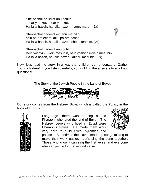She-bechol ha-leilot anu ochlin shear yerakot, shear yerakot. Ha-laila hazeh, ha-laila hazeh, maror, maror. (2x)



She-bechol ha-leilot ein anu matbilin afilu pa-am echat, afilu pa-am echat. Ha-laila hazeh, ha-laila hazeh, shetei feamim. (2x)

She-bechol ha-leilot anu ochlin Bein yoshvin u-vein mesubin, bein yoshvin u-vein mesubin. Ha-laila hazeh, ha-laila hazeh, kulanu mesubin. (2x)

Now, let's read the story, in a way that children can understand. Gather 'round children! If you listen carefully, you will find the answers to all of our questions!

The Story of the Jewish People in the Land of Egypt



Our story comes from the Hebrew Bible, which is called th e *Torah,* in the book of Exodus.



Long ago, there was a king named Pharaoh, who ruled the land of Egypt. The Hebrew people who lived in Egypt were Pharaoh's slaves. He made them work very hard to build cities, pyramids and



palaces. Sometimes the slaves made up songs to sing to make their work easier. Let's sing the song together. Those who know it can sing the first verse, and everyone else can join in for the second verse.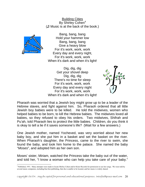Building Cities By Shirley Cohen<sup>4</sup> (♫ Music is at the back of the book.)



Bang, bang, bang Hold your hammer low Bang, bang, bang Give a heavy blow For it's work, work, work Every day and every night, For it's work, work, work When it's dark and when it's light!

Dig, dig, dig Get your shovel deep Dig, dig, dig There's no time for sleep For it's work, work, work Every day and every night For it's work, work, work When it's dark and when it's light!



Pharaoh was worried that a Jewish boy might grow up to be a leader of the Hebrew slaves, and fight against him. So, Pharaoh ordered that all little Jewish boy babies were to be killed. He told the midwives, women who helped babies to be born, to kill the Hebrew babies. The midwives loved all babies, so they refused to obey his orders. Two midwives, Shifrah and Pu'ah, told Pharaoh lies to protect the little babies. Children, do you think it is okay to tell a lie if it saves someone's life? (Wait for a few answers.)

One Jewish mother, named Yocheved, was very worried about her new baby boy, and she put him in a basket and set the basket on the river. When Pharaoh's daughter, the Princess, came to the river to swim, she found the baby, and took him home to the palace. She named the baby "*Moses*", and adopted him as her own son.

Moses' sister, Miriam, watched the Princess take the baby out of the water, and told her, "I know a woman who can help you take care of your baby."

<span id="page-19-0"></span> $\overline{a}$ <sup>4</sup> Published, 1951. Many attempts were made to locate Shirley Cohen and/or Kinor Records for permission to use her songs. We were told by several music companies, including Kar-ben publishing, that she is unable to be located, and her music is widely shared.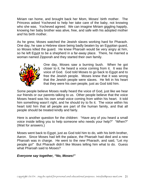Miriam ran home, and brought back her Mom, Moses' birth mother. The Princess asked Yocheved to help her take care of the baby, not knowing who she was. Yocheved agreed. We can imagine Miriam giggling happily, knowing her baby brother was alive, free, and safe with his adopted mother *and* his birth mother.

As he grew, Moses watched the Jewish slaves working hard for Pharaoh. One day, he saw a Hebrew slave being badly beaten by an Egyptian guard, so Moses killed the guard. He knew Pharoah would be very angry at him, so he left Egypt to be a shepherd in a far-away place. There, he married a woman named Zipporah and they started their own family.



One day, Moses saw a burning bush. When he got closer to it, he heard a voice coming from it. It was the voice of God. God told Moses to go back to Egypt and to free the Jewish people. Moses knew that it was wrong that the Jewish people were slaves. He felt in his heart that they were his *own* people, just as God told him.

Some people believe Moses really heard the voice of God, just like we hear our friends or our parents talking to us. Other people believe that the voice Moses heard was his own small voice coming from within his heart. It told him something wasn't right, and he should try to fix it. The voice within his heart told him that all people are part of the human family, and that all people should be treated kindly and fairly.

Here is another question for the children: "Have any of you heard a small voice inside telling you to help someone who needs your help?" "When?" (Wait for answers.)

Moses went back to Egypt, just as God told him to do, with his birth brother, Aaron. Since Moses had left the palace, the Pharoah had died and a new Pharoah was in charge. He went to the *new* Pharaoh, and said, "Let my people go!" But Pharaoh didn't like Moses telling him what to do. Guess what Pharoah said to Moses?

#### *Everyone say together, "No, Moses!"*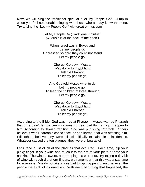Now, we will sing the traditional spiritual, "Let My People Go". Jump in when you feel comfortable singing with those who already know the song. Try to sing the "Let my People Go!" with great enthusiasm.

> Let My People Go (Traditional Spiritual) (♫ Music is at the back of the book.)

When Israel was in Egypt land Let my people go Oppressed so hard they could not stand Let my people go.

> Chorus: Go down Moses, Way down to Egypt land Tell old Pharaoh To let my people go!

And God told Moses what to do Let my people go! To lead the children of Israel through Let my people go!

> Chorus: Go down Moses, Way down to Egypt land Tell old Pharoah To let my people go!

According to the Bible, God was mad at Pharaoh. Moses warned Pharaoh that if he didn't let the Jewish slaves go free, bad things might happen to him. According to Jewish tradition, God was punishing Pharaoh. Others believe it was Pharoah's conscience, or bad karma, that was affecting him. Still others believe they were all scientifically explainable coincidences. Whatever caused the ten plagues, they were unbearable!

Let's read a list of all of the plagues that occurred. Each time, dip your pinky finger in your wine and touch it to the rim of your plate or onto your napkin. The wine is sweet, and the plagues were not. By taking a tiny bit of wine with each dip of our fingers, we remember that this was a sad time for *everyone*. We do not like to see bad things happen to anyone; even the people we think of as enemies. With each bad thing that happened, the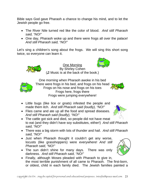Bible says God gave Pharaoh a chance to change his mind, and to let the Jewish people go free.

- The River Nile turned red like the color of blood. *And still Pharaoh said, "NO!"*
- One day, Pharaoh woke up and there were frogs all over the palace! *And still Pharaoh said, "NO!"*

Let's sing a children's song about the frogs. We will sing this short song twice, so everyone can learn it.



One Morning By Shirley Cohen (♫ Music is at the back of the book.)



One morning when Pharaoh awoke in his bed There were frogs in his bed, and frogs on his head Frogs on his nose and frogs on his toes Frogs here, frogs there Frogs were jumping everywhere!



- Little bugs (like lice or gnats) infested the people and made them itch. *And still Pharaoh said (loudly), "NO!"*
- Flies came and ate up all the food and spread diseases. *And still Pharaoh said (loudly), "NO!"*
- The cattle got sick and died, so people did not have meat to eat (and they didn't have soy substitutes, either!) *And still Pharaoh said, "NO!"*
- There was a big storm with lots of thunder and hail. *And still Pharaoh said, "NO!"*
- Just when Pharaoh thought it couldn't get any worse, locusts (like grasshoppers) were everywhere! *And still Pharaoh said, "NO!"*
- The sun didn't shine for many days. There was only darkness. *And still Pharaoh said, "NO!"*
- Finally, although Moses pleaded with Pharaoh to give in, the most terrible punishment of all came to Pharaoh. The first-born, or oldest, child in each family died. The Jewish families painted a

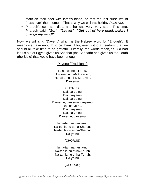mark on their door with lamb's blood, so that the last curse would "pass over" their homes. That is why we call this holiday *Passover*.

• Pharaoh's own son died, and he was very, very sad. This time, Pharaoh said, *"Go!" "Leave!" "Get out of here quick before I change my mind!"*

Now, we will sing "Dayenu" which is the Hebrew word for "Enough". It means we have enough to be thankful for, even without freedom, that we should all take time to be grateful. Literally, the words mean, "If G-d had led us out of Egypt, given us Shabbat (the Sabbath) and given us the Torah (the Bible) that would have been enough!

#### Dayenu (Traditional)

Ilu ho-tsi, ho-tsi-a-nu, Ho-tsi-a-nu mi-Mitz-ra-yim, Ho-tsi-a-nu mi-Mitz-ra-yim, Da-ye-nu!

#### CHORUS: Dai, da-ye-nu, Dai, da-ye-nu, Dai, da-ye-nu, Da-ye-nu, da-ye-nu, da-ye-nu! Dai, da-ye-nu, Dai, da-ye-nu, Dai, da-ye-nu, Da-ye-nu, da-ye-nu!

Ilu na-tan, na-tan la-nu, Na-tan la-nu et-ha-Sha-bat, Na-tan la-nu et-ha-Sha-bat, Da-ye-nu!

#### (CHORUS)

Ilu na-tan, na-tan la-nu, Na-tan la-nu et-ha-To-rah, Na-tan la-nu et-ha-To-rah, Da-ye-nu!

(CHORUS)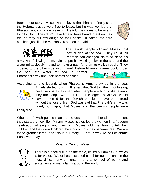Back to our story: Moses was relieved that Pharaoh finally said the Hebrew slaves were free to leave, but he was worried tha t Pharaoh would change his mind. He told the slaves to hurry and to follow him. They didn't have time to bake bread to eat on thei r trip, so they put raw dough on their backs. It baked into hard crackers just like the matzah you see on the table.



The Jewish people followed Moses until they arrived at the sea. They could tell Pharaoh had changed his mind since his

army was following them. Moses put his walking stick in the sea, and the water miraculously moved to make a path for them to walk through. They crossed to the other side just in time! Before Pharaoh's army could cross the sea, the water returned to normal. Pharoah's army and their horses perished.

According to o ne legend, when Pharoah's Army drowned in the sea,



An gels started to sing. It is said that God told them not to sing, bec ause it is always sad when people are hurt or die, even if the y are people we don't like. The legend says God would hav e preferred for the Jewish people to have been freed wit hout the loss of life. God was sad that Pharoah's army was kill ed, but happy that Moses and the Jewish people were

finally free.

When the Jewish people reached the desert on the other side of the sea, they started a new life. Miriam, Moses' sister, led the women in a freedom celebration of singing and dancing. Moses told the Jews to tell their children and their grandchildren the story of how they became free. We are those grandchildren, and this is our story. That is why we still celebrate Passover today.

#### Miriam's Cup for Water



There is a special cup on the table, called Miriam's Cup, which is for water. Water has sustained us all for generations, in the most difficult environments. It is a symbol of purity and sustenance in many faiths around the world.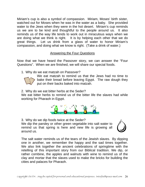Miriam's cup is also a symbol of compassion. Miriam, Moses' birth sister, watched out for Moses when he was in the water as a baby. She provided water to the Jews when they were in the hot desert. Miriam's cup reminds us we are to be kind and thoughtful to the people around us. It also reminds us of the way life tends to work out in miraculous ways when we are doing what we think is right. It is by helping each other that we do great things. Let us drink from a glass of water to honor Miriam's compassion, and doing what we know is right. (Take a drink of water.)

### Answering the Four Questions

Now that we have heard the Passover story, we can answer the "Four Questions". When we are finished, we will share our special foods.

1. Why do we eat matzah on Passover?



We eat matzah to remind us that the Jews had no time to bake their bread before leaving Egypt. The raw dough they put on their backs baked into matzah.

2. Why do we eat bitter herbs at the Seder?

We eat bitter herbs to remind us of the bitter life the slaves had while working for Pharaoh in Egypt.



3. Why do we dip foods twice at the Seder? We dip the parsley or other green vegetable into salt water to remind us that spring is here and new life is growing all around us.



The salt water reminds us of the tears of the Jewish slaves. By dipping one in another, we remember the happy and the sad times together. We also link together the ancient celebrations of springtime with the retelling of this important story from our Biblical tradition. We dip, or rather combine, the apples and walnuts with wine to remind us of the clay and mortar that the slaves used to make the bricks for building the cities and palaces for Pharaoh.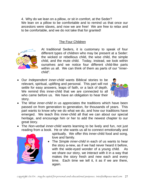4. Why do we lean on a pillow, or sit in comfort, at the Seder? We lean on a pillow to be comfortable and to remind us that once our ancestors were slaves, and now we are free! We are free to relax and to be comfortable, and we do not take that for granted!

### The Four Children



A t traditional Seders, it is customary to speak of four d ifferent types of children who may be present at a Seder: th e wicked or rebellious child, the wise child, the simple c hild, and the mute child. Today, instead, we look within o urselves and we notice four different child-like parts w ithin us all. We can think of them as parts of our "innerc hild".

• Our *Independent inner-child* wants Biblical stories to be relevant, spiritual, uplifting and personal. This part will not settle for easy answers, leaps of faith, or a lack of depth. We remind this inner-child that we are connected to all who came before us. We have an obligation to hear their story.



- The *Wise inner-child* in us appreciates the traditions which have been passed on from generation to generation, for thousands of years. This part wants to know *why* we do what we do, and how our traditions have emerged. We teach this inner-child all that we can about our special heritage, and encourage him or her to add the newest chapter to our great story.
- The *Non-verbal inner-child* wants learning to be lively and fun, not just reading from a book. He or she wants us all to connect emotionally and



s piritually. We offer this inner-child food and song, lo ve and family.

• The *Simple inner-child* in each of us wants to hear th e story a-new, as if we had never heard it before, w ith the wide-eyed wonder of a young child. As w e share our story, we interact with it in a way that m akes the story fresh and new each and every ti me. Each time we tell it, it as if we are there, a gain.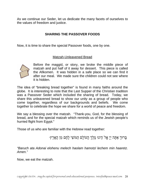As we continue our Seder, let us dedicate the many facets of ourselves to the values of freedom and justice.

### **SHARING THE PASSOVER FOODS**

Now, it is time to share the special Passover foods, one by one.

#### Matzah-Unleavened Bread



Be fore the maggid, or story, we broke the middle piece of m atzah and put half of it away for dessert. This piece is called the Afikomen. It was hidden in a safe place so we can find it af ter our meal. We made sure the children could not see where it is hidden.

The idea of "breaking bread together" is found in many faiths around the globe. It is interesting to note that the Last Supper of the Christian tradition was a Passover Seder which included the sharing of bread. Today, we share this unleavened bread to show our unity as a group of people who come together, regardless of our backgrounds and beliefs. We come together to celebrate the hope we share for a world of peace and freedom.

We say a blessing over the matzah. "Thank-you, God, for the blessing of bread, and for the special matzah which reminds us of the Jewish people's hurried flight from Egypt."

Those of us who are familiar with the Hebrew read together:

ָבּ ְ רוּך אַתָּ ה יְיָ ֱא ֵ לֹהינוּ מֶלְֶך ָהעוֹלָם ַהמּוֹצִי לֶחֶם מִן ָהאָרֶץ·

*"Baruch ata Adonai elohenu melech haolam hamotzi lechem min haaretz. Amen."* 

Now, we eat the matzah.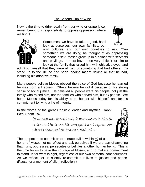### The Second Cup of Wine

Now is the time to drink again from our wine or grape juice, remembering our responsibility to oppose oppression where we find it.

> Sometimes, we have to take a good, hard look at ourselves, our own families, our

own cultures, and our own countries to ask, "Can something we are doing be thought of as oppressing someone else? Moses grew up in a palace with servants and privilege. It must have been very difficult for him to look at the family that raised him with objective eyes, and

admit to himself that they were all part of something that hurt others. To stand up to the life he had been leading meant risking all that he had, including his adoptive family.

Many people believe Moses obeyed the voice of God because he learned he was born a Hebrew. Others believe he did it because of his strong sense of social justice. He believed all people were his people, not just the family who raised him, nor the families who served him, but *all* people. We honor Moses today for his ability to be honest with himself, and for his commitment to living a life of integrity.

In the words of the great Chasidic leader and mystical Rabbi, Ba'al Shem Tov:

> "If a man has beheld evil, it was shown to him in order that he learn his own guilt and repent. For what is shown to him is also within him."

The temptation to commit or to tolerate evil is within *all* of us. In

honor of Moses, let us reflect and ask ourselves if we are part of anything that hurts, oppresses, persecutes or belittles another human being. This is the time for us to have the courage of Moses, and to make a commitment to stand up for what is right, regardless of our own personal consequences. As we reflect, let us silently re-commit our lives to justice and peace. (Pause for a moment of silent reflection.)





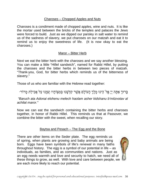#### Charoses – Chopped Apples and Nuts

Charoses is a condiment made of chopped apples, wine and nuts. It is like the mortar used between the bricks of the temples and palaces the Jews were forced to build. Just as we dipped our parsley in salt water to remind us of the sadness of slavery, we put charoses on our matzah and eat it to remind us to enjoy the sweetness of life. (It is now okay to eat the charoses.)

#### Maror – Bitter Herb

Next we eat the bitter herb with the charoses and we say another blessing. You can make a little "Hillel sandwich", named for Rabbi Hillel, by putting the charoses and the bitter herbs in between two pieces of matzah. "Thank-you, God, for bitter herbs which reminds us of the bitterness of slavery."

Those of us who are familiar with the Hebrew read together:

ָּבָרוּךָ אַתָּה יִיַ אֵל<sup>ֹי</sup> הֵינוּ מֶלֶךְ הָעוֹלָם אֲשֶׁר קִדִּשָׁנוּ בִּמְצָוֹתַיו וְצִוַּנוּ עַל אֲכִילַת מַרוֹר

*"Baruch ata Adonai elohenu melech haolam asher kidshanu b'mitzvotav al achilat maror."* 

Now we can eat the sandwich containing the bitter herbs and charoses together, in honor of Rabbi Hillel. This reminds us that at Passover, we combine the bitter with the sweet, when recalling our story.

### Baytsa and Pesach – The Egg and the Bone

There are other items on the Seder plate. The egg reminds us of spring, when plants are growing and baby animals are being born. Eggs have been symbols of life's renewal in many faiths throughout history. The egg is a symbol of our potential in life  $-$  as individuals, as families, and as communities and nations. Just as an egg needs warmth and love and security to hatch, we need all of these things to grow, as well. With love and care between people, we are each more likely to reach our potential.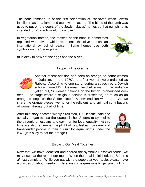The bone reminds us of the first celebration of Passover, when Jewish families roasted a lamb and ate it with matzah. The blood of the lamb was used to put on the doors of the Jewish slaves' homes so that punishments intended for Pharaoh would "pass over".

In vegetarian homes, the roasted shank bone is sometimes replaced with olives, which represents the olive branch, an international symbol of peace. Some homes use both symbols on the Seder plate.



(It is okay to now eat the eggs and the olives.)

#### Tappuz - The Orange



Another recent addition has been an orange, to honor women in Judaism. In the 1970's, the first women were ordained as Rabbis. According to one story, during a speech by a Jewish scholar named Dr. Susannah Heschel, a man in the audience yelled out, "A woman belongs on the bimah (pronounced *bee-*

*mah* -- the stage where a religious service is presented) as much as an orange belongs on the Seder plate!" A new tradition was born. As we share the orange pieces, we honor the religious and spiritual contributions of women throughout all of time.

After this story became widely circulated, Dr. Heschel said she actually began to use the orange in her Seders to symbolize the struggle of lesbians and gay men for legal equality. At this time, we also remember the plight of gay, lesbian, bisexual and transgender people in their pursuit for equal rights under the law. (It is okay to eat the orange.)



#### Enjoying Our Meal Together

Now that we have identified and shared the symbolic Passover foods, we may now eat the rest of our meal. When the meal is finished, the Seder is *almost* complete. While you eat with the people at your table, please have a discussion about freedom. Here are some questions to get you thinking: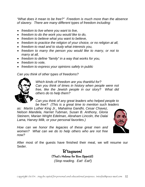*"What does it mean to be free?" Freedom is much more than the absence of slavery. There are many different types of freedom including:*

- *freedom to live where you want to live,*
- *freedom to do the work you would like to do,*
- *freedom to believe what you want to believe,*
- *freedom to practice the religion of your choice, or no religion at all,*
- *freedom to read and to study what interests you,*
- *freedom to marry the person you would like to marry, or not to marry at all,*
- *freedom to define "family" in a way that works for you,*
- *freedom to vote,*
- *freedom to express your opinions safely in public*

*Can you think of other types of freedoms?* 



*Which kinds of freedom are you thankful for? Can you think of times in history when people were not free, like the Jewish people in our story? What did others do to help them?* 

*Can you think of any great leaders who helped people to be free? (This is a great time to mention such leaders* 

*as: Martin Luther King Jr., Mahatma Gandhi, Cesar Chavez, Nelson Mandela, Harriet Tubman, Susan B. Anthony, Gloria Steinem, Marian Wright Edelman, Abraham Lincoln, the Dalai Lama, Harvey Milk, or your personal favorites.)* 



*How can we honor the legacies of these great men and women? What can we do to help others who are not free now?* 

After most of the guests have finished their meal, we will resume our Seder.

> B'tayavon! (That's Hebrew for Bon Appetit!)  *(Stop reading. Eat! Eat!*)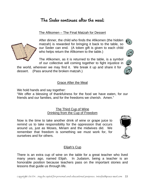# The Seder continues after the meal:

#### The Afikomen – The Final Matzah for Dessert

After dinner, the child who finds the Afikomen (the hidden matzah) is rewarded for bringing it back to the table, so our Seder can end. (A token gift is given to each child who helps return the Afikomen to the table.)

of our collective will coming together to fight injustice in The Afikomen, as it is returned to the table, is a symbol

the world, whe rever we may find it. We break it up and share it for dessert. (Pass around the broken matzah.)

#### Grace After the Meal

We hold hands and say together:

"We offer a blessing of thankfulness for the food we have eaten, for our friends and our families, and for the freedoms we cherish. Amen."

#### The Third Cup of Wine Drinking from the Cup of Freedom

Now is the time to take another drink of wine or grape juice to remind us to take responsibility for the oppression that occurs around us, just as Moses, Miriam and the midwives did. We remember that freedom is something we must work for, for ourselves and for others.

#### Elijah's Cup

There is an extra cup of wine on the table for a great teacher who lived many years ago, named Elijah. In Judaism, being a teacher is an honorable position because teachers pass on the important stories and lessons that guide us through life.







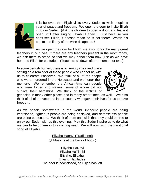

It is believed that Elijah visits every Seder to wish people a year of peace and freedom. We open the door to invite Elijah in to our Seder. (Ask the children to open a door, and leave it open until after singing Eliyahu Hanavi.) Just because you can't see Elijah, it doesn't mean he is not there! Watch his cup to see if any of the wine disappears!

As we open the door for Elijah, we also honor the many great teachers in our lives. If there are any teachers present in the room today, we ask them to stand so that we may honor them now, just as we have honored Elijah for centuries. (Teachers sit down after a moment or two.)

In some Jewish homes, there is an empty chair and place setting as a reminder of those people who cannot be with us to celebrate Passover. We think of all of the people who were murdered in the Holocaust and we honor their memory. We remember the African-American peop le who were forced into slavery, some of whom did no t survive their hardships. We think of the victims o f



genocide in many other places and in many other times, as well. We also think of all of the veterans in our country who gave their lives for us to have freedom.

As we speak, somewhere in the world, innocent people are being imprisoned, righteous people are being enslaved, and defenseless people are being persecuted. We think of them and wish that they could be free to enjoy our Seder with us this evening. May this Seder inspire us to do what we can to help them in this coming year. We will now sing the traditional song of Eliyahu.

> Eliyahu Hanavi (Traditional) (♫ Music is at the back of book.)

Eliyahu HaNavi Eliyahu HaTishbi Eliyahu, Eliyahu, Eliyahu Hagiladee. The door is now closed, as Elijah has left.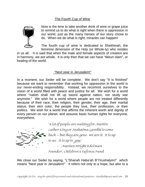#### The Fourth Cup of Wine



Now is the time to take another drink of wine or grape juice to remind us to do what is right when there is oppression in our world, just as the many heroes of our story chose to do. When we do what is right, miracles can happen!

The fourth cup of wine is dedicated to Shekhinah, the feminine dimension of the Holy (or Whole-ly) who resides

in us all. It is said that when the male and female aspects of creation are in harmony, we are whole. It is only then that we can have "tikkun olam", or healing of the world.

#### "Next year in Jerusalem!"

In a moment, our Seder will be complete. We don't say "It is finished" because we want to remember that working for oppression in the world is our never-ending responsibility. Instead, we recommit ourselves to the vision of a world filled with peace and justice for all. We wish for a world where "nation shall not lift up sword against nation, nor study war anymore." We wish for a world where people are not treated differently because of their race, their religion, their gender, their age, their marital status, their skin color, the people they love, their profession, or their politics. We wish for a world that affirms the inherent worth and dignity of every person on our planet, and assures basic human rights for everyone, everywhere.



"A lot of people are waiting for Martin Luther King or Mahatma Gandhi to come back – but they are gone. We are it. It is up to us. It is up to you." - Marian Wright Edelman Founder , Children's Defense Fund

We close our Seder by saying, "L'Shanah Haba'ah B'Yirushalyim!" which means "Next year in Jerusalem!" It refers not only to a hope, but also to a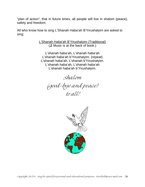"plan of action", that in future times, all people will live in shalom (peace), safety and freedom.

All who know how to sing L'Shanah Haba'ah B'Yirushalyim are asked to sing:

> L'Shanah Haba'ah B'Yirushalyim (Traditional) (♫ Music is at the back of book.)

L'shanah haba'ah, L'shanah haba'ah L'shanah haba'ah b'Yirushalyim. (repeat) L'shanah haba'ah, L'shanah b'Yirushalyim. L'shanah haba'ah, L'shanah haba'ah L'shanah haba'ah b'Yirushalyim.

Shalom

(good-bye and peace)

to all!

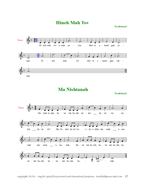**Hineh Mah Tov** 

**Traditional** 



had.



**Traditional** 



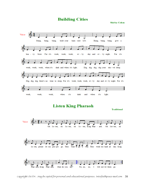## **Building Cities**

**Shirley Cohen** 



Copyright 06/04. May be copied for personal and educational purposes. Interfaithpeace @aol.com 38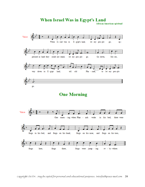

**African American spiritual** 



# **One Morning**

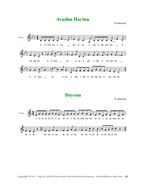**Avadim Hayinu** 

**Traditional** 



**Dayenu** 

**Traditional**